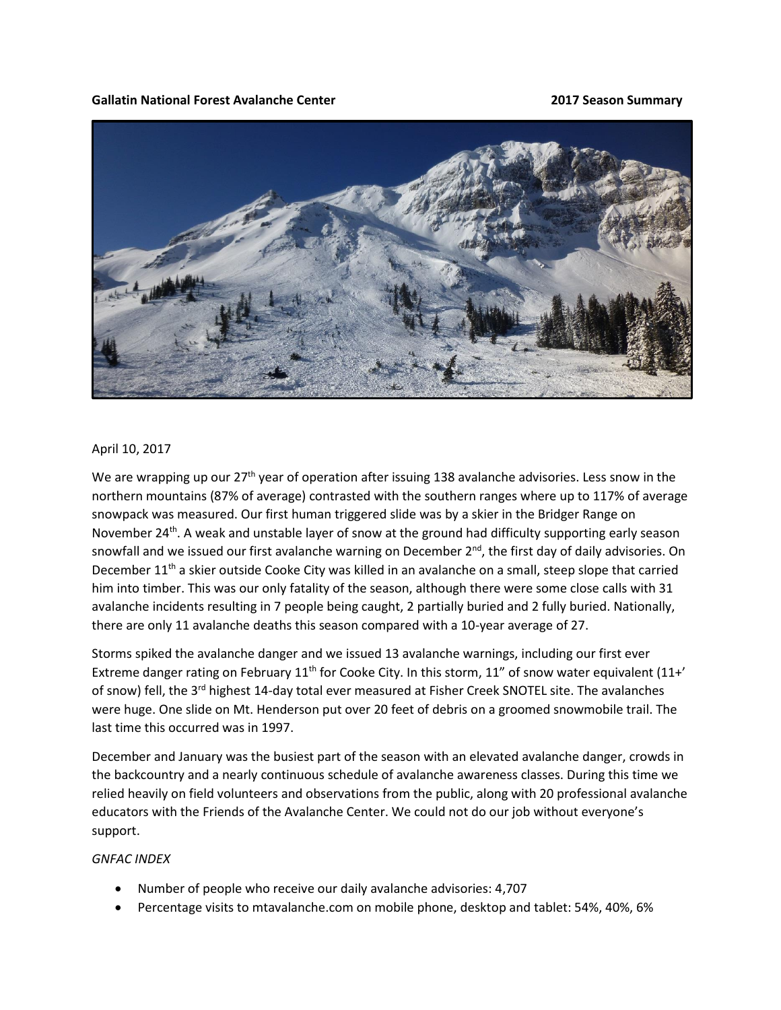## **Gallatin National Forest Avalanche Center 2017 Season Summary**



## April 10, 2017

We are wrapping up our 27<sup>th</sup> year of operation after issuing 138 avalanche advisories. Less snow in the northern mountains (87% of average) contrasted with the southern ranges where up to 117% of average snowpack was measured. Our first human triggered slide was by a skier in the Bridger Range on November 24<sup>th</sup>. A weak and unstable layer of snow at the ground had difficulty supporting early season snowfall and we issued our first avalanche warning on December  $2<sup>nd</sup>$ , the first day of daily advisories. On December 11<sup>th</sup> a skier outside Cooke City was killed in an avalanche on a small, steep slope that carried him into timber. This was our only fatality of the season, although there were some close calls with 31 avalanche incidents resulting in 7 people being caught, 2 partially buried and 2 fully buried. Nationally, there are only 11 avalanche deaths this season compared with a 10-year average of 27.

Storms spiked the avalanche danger and we issued 13 avalanche warnings, including our first ever Extreme danger rating on February  $11<sup>th</sup>$  for Cooke City. In this storm,  $11''$  of snow water equivalent ( $11+'$ of snow) fell, the 3<sup>rd</sup> highest 14-day total ever measured at Fisher Creek SNOTEL site. The avalanches were huge. One slide on Mt. Henderson put over 20 feet of debris on a groomed snowmobile trail. The last time this occurred was in 1997.

December and January was the busiest part of the season with an elevated avalanche danger, crowds in the backcountry and a nearly continuous schedule of avalanche awareness classes. During this time we relied heavily on field volunteers and observations from the public, along with 20 professional avalanche educators with the Friends of the Avalanche Center. We could not do our job without everyone's support.

## *GNFAC INDEX*

- Number of people who receive our daily avalanche advisories: 4,707
- Percentage visits to mtavalanche.com on mobile phone, desktop and tablet: 54%, 40%, 6%